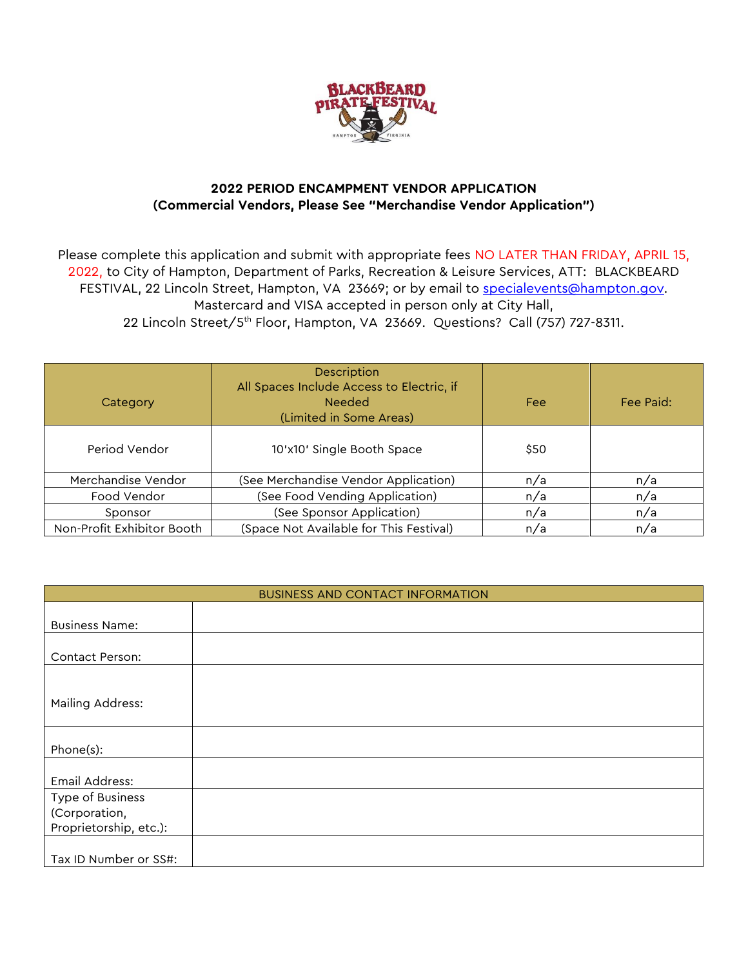

## **2022 PERIOD ENCAMPMENT VENDOR APPLICATION (Commercial Vendors, Please See "Merchandise Vendor Application")**

Please complete this application and submit with appropriate fees NO LATER THAN FRIDAY, APRIL 15, 2022, to City of Hampton, Department of Parks, Recreation & Leisure Services, ATT: BLACKBEARD FESTIVAL, 22 Lincoln Street, Hampton, VA 23669; or by email to [specialevents@hampton.gov.](mailto:specialevents@hampton.gov) Mastercard and VISA accepted in person only at City Hall, 22 Lincoln Street/5th Floor, Hampton, VA 23669. Questions? Call (757) 727-8311.

| Category                   | <b>Description</b><br>All Spaces Include Access to Electric, if<br><b>Needed</b><br>(Limited in Some Areas) | Fee  | Fee Paid: |
|----------------------------|-------------------------------------------------------------------------------------------------------------|------|-----------|
| Period Vendor              | 10'x10' Single Booth Space                                                                                  | \$50 |           |
| Merchandise Vendor         | (See Merchandise Vendor Application)                                                                        | n/a  | n/a       |
| Food Vendor                | (See Food Vending Application)                                                                              | n/a  | n/a       |
| Sponsor                    | (See Sponsor Application)                                                                                   | n/a  | n/a       |
| Non-Profit Exhibitor Booth | (Space Not Available for This Festival)                                                                     | n/a  | n/a       |

| <b>BUSINESS AND CONTACT INFORMATION</b> |  |  |
|-----------------------------------------|--|--|
|                                         |  |  |
| <b>Business Name:</b>                   |  |  |
|                                         |  |  |
| Contact Person:                         |  |  |
|                                         |  |  |
|                                         |  |  |
| Mailing Address:                        |  |  |
|                                         |  |  |
|                                         |  |  |
| Phone(s):                               |  |  |
|                                         |  |  |
| Email Address:                          |  |  |
| Type of Business                        |  |  |
| (Corporation,                           |  |  |
| Proprietorship, etc.):                  |  |  |
|                                         |  |  |
| Tax ID Number or SS#:                   |  |  |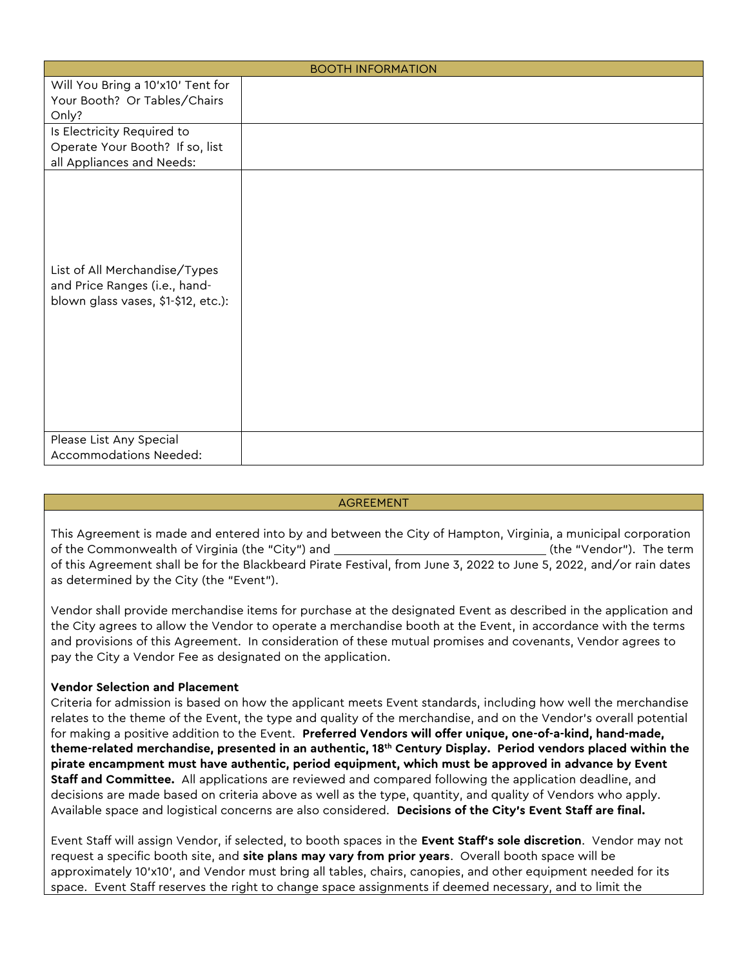| <b>BOOTH INFORMATION</b>                                                                              |  |  |
|-------------------------------------------------------------------------------------------------------|--|--|
| Will You Bring a 10'x10' Tent for<br>Your Booth? Or Tables/Chairs<br>Only?                            |  |  |
| Is Electricity Required to<br>Operate Your Booth? If so, list<br>all Appliances and Needs:            |  |  |
| List of All Merchandise/Types<br>and Price Ranges (i.e., hand-<br>blown glass vases, \$1-\$12, etc.): |  |  |
| Please List Any Special<br>Accommodations Needed:                                                     |  |  |

## AGREEMENT

This Agreement is made and entered into by and between the City of Hampton, Virginia, a municipal corporation of the Commonwealth of Virginia (the "City") and (the "Vendor"). The term of this Agreement shall be for the Blackbeard Pirate Festival, from June 3, 2022 to June 5, 2022, and/or rain dates as determined by the City (the "Event").

Vendor shall provide merchandise items for purchase at the designated Event as described in the application and the City agrees to allow the Vendor to operate a merchandise booth at the Event, in accordance with the terms and provisions of this Agreement. In consideration of these mutual promises and covenants, Vendor agrees to pay the City a Vendor Fee as designated on the application.

## **Vendor Selection and Placement**

Criteria for admission is based on how the applicant meets Event standards, including how well the merchandise relates to the theme of the Event, the type and quality of the merchandise, and on the Vendor's overall potential for making a positive addition to the Event. **Preferred Vendors will offer unique, one-of-a-kind, hand-made, theme-related merchandise, presented in an authentic, 18th Century Display. Period vendors placed within the pirate encampment must have authentic, period equipment, which must be approved in advance by Event Staff and Committee.** All applications are reviewed and compared following the application deadline, and decisions are made based on criteria above as well as the type, quantity, and quality of Vendors who apply. Available space and logistical concerns are also considered. **Decisions of the City's Event Staff are final.** 

Event Staff will assign Vendor, if selected, to booth spaces in the **Event Staff's sole discretion**. Vendor may not request a specific booth site, and **site plans may vary from prior years**. Overall booth space will be approximately 10'x10', and Vendor must bring all tables, chairs, canopies, and other equipment needed for its space. Event Staff reserves the right to change space assignments if deemed necessary, and to limit the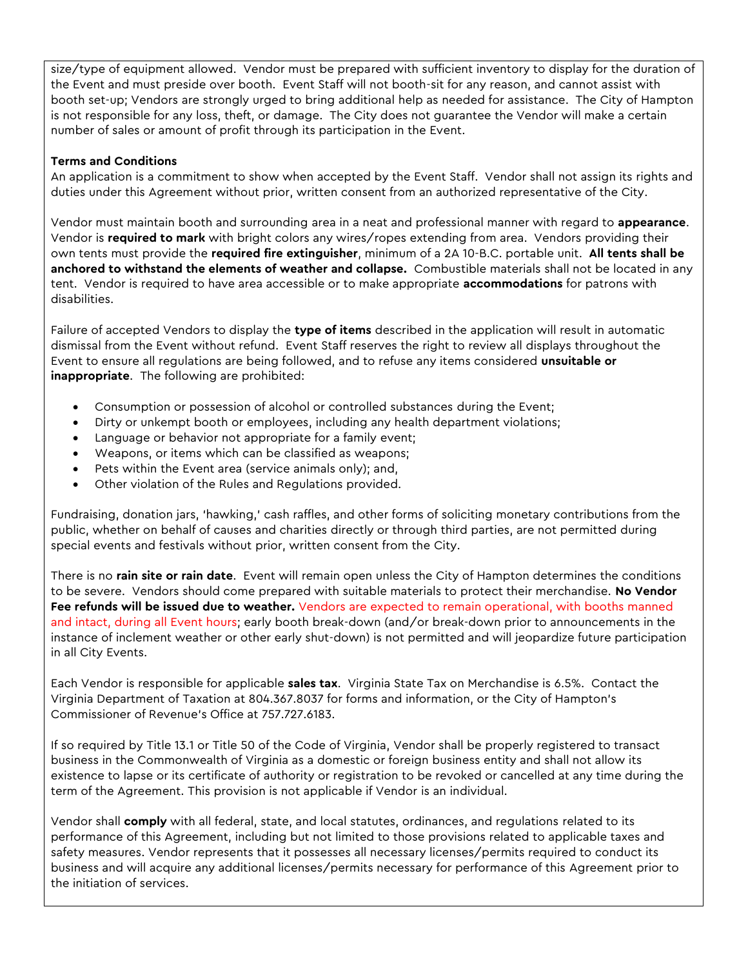size/type of equipment allowed. Vendor must be prepared with sufficient inventory to display for the duration of the Event and must preside over booth. Event Staff will not booth-sit for any reason, and cannot assist with booth set-up; Vendors are strongly urged to bring additional help as needed for assistance. The City of Hampton is not responsible for any loss, theft, or damage. The City does not guarantee the Vendor will make a certain number of sales or amount of profit through its participation in the Event.

## **Terms and Conditions**

An application is a commitment to show when accepted by the Event Staff. Vendor shall not assign its rights and duties under this Agreement without prior, written consent from an authorized representative of the City.

Vendor must maintain booth and surrounding area in a neat and professional manner with regard to **appearance**. Vendor is **required to mark** with bright colors any wires/ropes extending from area. Vendors providing their own tents must provide the **required fire extinguisher**, minimum of a 2A 10-B.C. portable unit. **All tents shall be anchored to withstand the elements of weather and collapse.** Combustible materials shall not be located in any tent. Vendor is required to have area accessible or to make appropriate **accommodations** for patrons with disabilities.

Failure of accepted Vendors to display the **type of items** described in the application will result in automatic dismissal from the Event without refund. Event Staff reserves the right to review all displays throughout the Event to ensure all regulations are being followed, and to refuse any items considered **unsuitable or inappropriate**. The following are prohibited:

- Consumption or possession of alcohol or controlled substances during the Event;
- Dirty or unkempt booth or employees, including any health department violations;
- Language or behavior not appropriate for a family event;
- Weapons, or items which can be classified as weapons;
- Pets within the Event area (service animals only); and,
- Other violation of the Rules and Regulations provided.

Fundraising, donation jars, 'hawking,' cash raffles, and other forms of soliciting monetary contributions from the public, whether on behalf of causes and charities directly or through third parties, are not permitted during special events and festivals without prior, written consent from the City.

There is no **rain site or rain date**. Event will remain open unless the City of Hampton determines the conditions to be severe. Vendors should come prepared with suitable materials to protect their merchandise. **No Vendor Fee refunds will be issued due to weather.** Vendors are expected to remain operational, with booths manned and intact, during all Event hours; early booth break-down (and/or break-down prior to announcements in the instance of inclement weather or other early shut-down) is not permitted and will jeopardize future participation in all City Events.

Each Vendor is responsible for applicable **sales tax**. Virginia State Tax on Merchandise is 6.5%. Contact the Virginia Department of Taxation at 804.367.8037 for forms and information, or the City of Hampton's Commissioner of Revenue's Office at 757.727.6183.

If so required by Title 13.1 or Title 50 of the Code of Virginia, Vendor shall be properly registered to transact business in the Commonwealth of Virginia as a domestic or foreign business entity and shall not allow its existence to lapse or its certificate of authority or registration to be revoked or cancelled at any time during the term of the Agreement. This provision is not applicable if Vendor is an individual.

Vendor shall **comply** with all federal, state, and local statutes, ordinances, and regulations related to its performance of this Agreement, including but not limited to those provisions related to applicable taxes and safety measures. Vendor represents that it possesses all necessary licenses/permits required to conduct its business and will acquire any additional licenses/permits necessary for performance of this Agreement prior to the initiation of services.